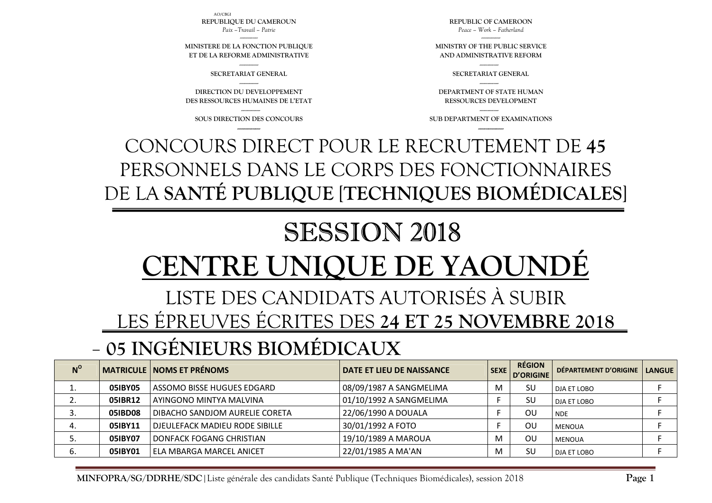| $N^{\rm o}$ |         | <b>MATRICULE   NOMS ET PRÉNOMS</b>    | DATE ET LIEU DE NAISSANCE | SEXE | <b>RÉGION</b><br>D'ORIGINE | DÉPARTEMENT D'ORIGINE   LANGUE |  |
|-------------|---------|---------------------------------------|---------------------------|------|----------------------------|--------------------------------|--|
| ∸.          | 05IBY05 | ASSOMO BISSE HUGUES EDGARD            | 08/09/1987 A SANGMELIMA   | M    | SU                         | DJA ET LOBO                    |  |
| <u>.</u>    | 05IBR12 | AYINGONO MINTYA MALVINA               | 01/10/1992 A SANGMELIMA   |      | SU                         | DJA ET LOBO                    |  |
| J.          | 05IBD08 | DIBACHO SANDJOM AURELIE CORETA        | 22/06/1990 A DOUALA       |      | ΟU                         | <b>NDE</b>                     |  |
| 4.          | 051BY11 | <b>DJEULEFACK MADIEU RODE SIBILLE</b> | 30/01/1992 A FOTO         |      | ΟU                         | MENOUA                         |  |
| כ.          | 05IBY07 | DONFACK FOGANG CHRISTIAN              | 19/10/1989 A MAROUA       | M    | OU                         | MENOUA                         |  |
| 6.          | 05IBY01 | <b>ELA MBARGA MARCEL ANICET</b>       | 22/01/1985 A MA'AN        | M    | SU                         | DJA ET LOBO                    |  |

## **05 INGÉNIEURS BIOMÉDICAUX**

## LISTE DES CANDIDATS AUTORISÉS À SUBIR LES ÉPREUVES ÉCRITES DES **24 ET 25 NOVEMBRE 2018**

# SESSION 2018 **VTRE UNIQUE DE YAOUN**

#### CONCOURS DIRECT POUR LE RECRUTEMENT DE **45** PERSONNELS DANS LE CORPS DES FONCTIONNAIRES DE LA **SANTÉ PUBLIQUE** [**TECHNIQUES BIOMÉDICALES**]

--------------- **SOUS DIRECTION DES CONCOURS ------------------**

**DIRECTION DU DEVELOPPEMENT DES RESSOURCES HUMAINES DE L'ETAT** 

--------------- **SECRETARIAT GENERAL** ---------------

**MINISTERE DE LA FONCTION PUBLIQUE ET DE LA REFORME ADMINISTRATIVE**

AO/CBGI**REPUBLIQUE DU CAMEROUN** *Paix –Travail – Patrie* 

> --------------- **SUB DEPARTMENT OF EXAMINATIONS --------------------**

**DEPARTMENT OF STATE HUMAN RESSOURCES DEVELOPMENT** 

--------------- **SECRETARIAT GENERAL** ---------------

**MINISTRY OF THE PUBLIC SERVICE AND ADMINISTRATIVE REFORM** 

**REPUBLIC OF CAMEROON** *Peace – Work – Fatherland*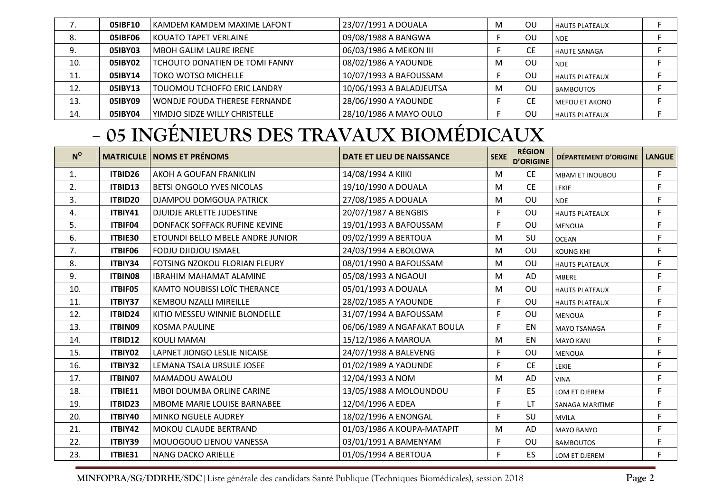| ,,  | 05IBF10 | KAMDEM KAMDEM MAXIME LAFONT    | 23/07/1991 A DOUALA      | M | OU | l HAUTS PLATEAUX      |  |
|-----|---------|--------------------------------|--------------------------|---|----|-----------------------|--|
| 8.  | 05IBF06 | <b>KOUATO TAPET VERLAINE</b>   | 09/08/1988 A BANGWA      |   | OU | <b>NDE</b>            |  |
| 9.  | 05IBY03 | <b>MBOH GALIM LAURE IRENE</b>  | 06/03/1986 A MEKON III   |   | СE | <b>HAUTE SANAGA</b>   |  |
| 10. | 05IBY02 | TCHOUTO DONATIEN DE TOMI FANNY | 08/02/1986 A YAOUNDE     | м | OU | <b>NDE</b>            |  |
| 11. | 05IBY14 | <b>TOKO WOTSO MICHELLE</b>     | 10/07/1993 A BAFOUSSAM   |   | OU | <b>HAUTS PLATEAUX</b> |  |
| 12. | 05IBY13 | TOUOMOU TCHOFFO ERIC LANDRY    | 10/06/1993 A BALADJEUTSA | м | OU | <b>BAMBOUTOS</b>      |  |
| 13. | 05IBY09 | WONDJE FOUDA THERESE FERNANDE  | 28/06/1990 A YAOUNDE     |   | CЕ | MEFOU ET AKONO        |  |
| 14. | 05IBY04 | YIMDJO SIDZE WILLY CHRISTELLE  | 28/10/1986 A MAYO OULO   |   | OU | l HAUTS PLATEAUX      |  |

### **05 INGÉNIEURS DES TRAVAUX BIOMÉDICAUX**

| $N^{\rm o}$ |                | <b>MATRICULE   NOMS ET PRÉNOMS</b>   | DATE ET LIEU DE NAISSANCE   | <b>SEXE</b> | <b>RÉGION</b><br><b>D'ORIGINE</b> | DÉPARTEMENT D'ORIGINE  | <b>LANGUE</b> |
|-------------|----------------|--------------------------------------|-----------------------------|-------------|-----------------------------------|------------------------|---------------|
| 1.          | ITBID26        | AKOH A GOUFAN FRANKLIN               | 14/08/1994 A KIIKI          | M           | <b>CE</b>                         | <b>MBAM ET INOUBOU</b> | F             |
| 2.          | ITBID13        | BETSI ONGOLO YVES NICOLAS            | 19/10/1990 A DOUALA         | M           | <b>CE</b>                         | LEKIE                  | F             |
| 3.          | ITBID20        | DJAMPOU DOMGOUA PATRICK              | 27/08/1985 A DOUALA         | M           | OU                                | <b>NDE</b>             | F             |
| 4.          | ITBIY41        | <b>DJUIDJE ARLETTE JUDESTINE</b>     | 20/07/1987 A BENGBIS        | F.          | OU                                | <b>HAUTS PLATEAUX</b>  | F             |
| 5.          | ITBIF04        | DONFACK SOFFACK RUFINE KEVINE        | 19/01/1993 A BAFOUSSAM      | F.          | OU                                | <b>MENOUA</b>          | F             |
| 6.          | ITBIE30        | ETOUNDI BELLO MBELE ANDRE JUNIOR     | 09/02/1999 A BERTOUA        | M           | SU                                | <b>OCEAN</b>           | F             |
| 7.          | ITBIF06        | <b>FODJU DJIDJOU ISMAEL</b>          | 24/03/1994 A EBOLOWA        | M           | OU                                | <b>KOUNG KHI</b>       | F             |
| 8.          | ITBIY34        | <b>FOTSING NZOKOU FLORIAN FLEURY</b> | 08/01/1990 A BAFOUSSAM      | M           | OU                                | <b>HAUTS PLATEAUX</b>  | F             |
| 9.          | <b>ITBIN08</b> | <b>IBRAHIM MAHAMAT ALAMINE</b>       | 05/08/1993 A NGAOUI         | M           | AD                                | <b>MBERE</b>           | F             |
| 10.         | ITBIF05        | KAMTO NOUBISSI LOÏC THERANCE         | 05/01/1993 A DOUALA         | M           | OU                                | <b>HAUTS PLATEAUX</b>  | F             |
| 11.         | ITBIY37        | <b>KEMBOU NZALLI MIREILLE</b>        | 28/02/1985 A YAOUNDE        | F           | OU                                | <b>HAUTS PLATEAUX</b>  | F             |
| 12.         | ITBID24        | KITIO MESSEU WINNIE BLONDELLE        | 31/07/1994 A BAFOUSSAM      | F           | OU                                | <b>MENOUA</b>          | $\mathsf F$   |
| 13.         | ITBIN09        | <b>KOSMA PAULINE</b>                 | 06/06/1989 A NGAFAKAT BOULA | F.          | EN                                | <b>MAYO TSANAGA</b>    | F             |
| 14.         | ITBID12        | <b>KOULI MAMAI</b>                   | 15/12/1986 A MAROUA         | M           | EN                                | <b>MAYO KANI</b>       | F             |
| 15.         | ITBIY02        | LAPNET JIONGO LESLIE NICAISE         | 24/07/1998 A BALEVENG       | F           | OU                                | <b>MENOUA</b>          | F             |
| 16.         | ITBIY32        | LEMANA TSALA URSULE JOSEE            | 01/02/1989 A YAOUNDE        | F           | <b>CE</b>                         | LEKIE                  | F             |
| 17.         | ITBIN07        | MAMADOU AWALOU                       | 12/04/1993 A NOM            | M           | AD                                | <b>VINA</b>            | F             |
| 18.         | ITBIE11        | <b>MBOI DOUMBA ORLINE CARINE</b>     | 13/05/1988 A MOLOUNDOU      | F.          | ES                                | LOM ET DJEREM          | F             |
| 19.         | ITBID23        | MBOME MARIE LOUISE BARNABEE          | 12/04/1996 A EDEA           | F           | LT                                | <b>SANAGA MARITIME</b> | F             |
| 20.         | ITBIY40        | <b>MINKO NGUELE AUDREY</b>           | 18/02/1996 A ENONGAL        | F.          | SU                                | <b>MVILA</b>           | F             |
| 21.         | ITBIY42        | <b>MOKOU CLAUDE BERTRAND</b>         | 01/03/1986 A KOUPA-MATAPIT  | M           | AD                                | <b>MAYO BANYO</b>      | F             |
| 22.         | ITBIY39        | MOUOGOUO LIENOU VANESSA              | 03/01/1991 A BAMENYAM       | F.          | OU                                | <b>BAMBOUTOS</b>       | F             |
| 23.         | ITBIE31        | <b>NANG DACKO ARIELLE</b>            | 01/05/1994 A BERTOUA        | F.          | <b>ES</b>                         | LOM ET DJEREM          | F             |

**MINFOPRA/SG/DDRHE/SDC**|Liste générale des candidats Santé Publique (Techniques Biomédicales), session 2018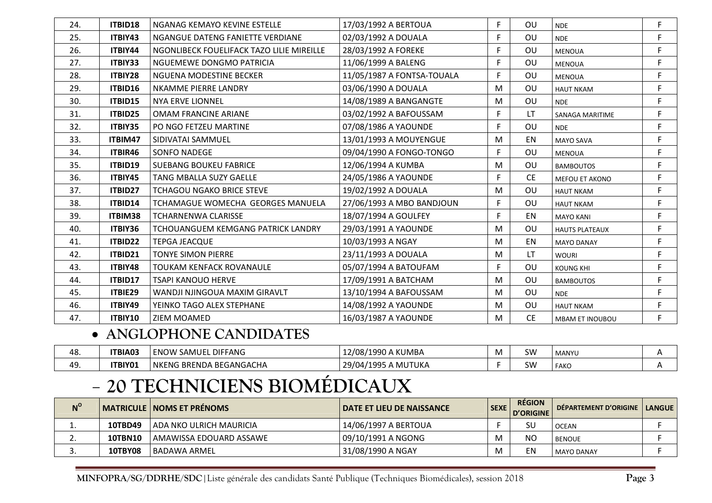| 24. | ITBID18 | NGANAG KEMAYO KEVINE ESTELLE              | 17/03/1992 A BERTOUA       | F. | OU        | <b>NDE</b>             | F           |
|-----|---------|-------------------------------------------|----------------------------|----|-----------|------------------------|-------------|
| 25. | ITBIY43 | NGANGUE DATENG FANIETTE VERDIANE          | 02/03/1992 A DOUALA        | F. | OU        | <b>NDE</b>             | F           |
| 26. | ITBIY44 | NGONLIBECK FOUELIFACK TAZO LILIE MIREILLE | 28/03/1992 A FOREKE        | F. | OU        | <b>MENOUA</b>          | F           |
| 27. | ITBIY33 | NGUEMEWE DONGMO PATRICIA                  | 11/06/1999 A BALENG        | F  | OU        | <b>MENOUA</b>          | $\mathsf F$ |
| 28. | ITBIY28 | NGUENA MODESTINE BECKER                   | 11/05/1987 A FONTSA-TOUALA | F. | OU        | <b>MENOUA</b>          | F           |
| 29. | ITBID16 | NKAMME PIERRE LANDRY                      | 03/06/1990 A DOUALA        | M  | OU        | <b>HAUT NKAM</b>       | F           |
| 30. | ITBID15 | <b>NYA ERVE LIONNEL</b>                   | 14/08/1989 A BANGANGTE     | M  | OU        | <b>NDE</b>             | $\mathsf F$ |
| 31. | ITBID25 | <b>OMAM FRANCINE ARIANE</b>               | 03/02/1992 A BAFOUSSAM     | F. | LT        | <b>SANAGA MARITIME</b> | F           |
| 32. | ITBIY35 | PO NGO FETZEU MARTINE                     | 07/08/1986 A YAOUNDE       | F. | OU        | <b>NDE</b>             | F           |
| 33. | ITBIM47 | SIDIVATAI SAMMUEL                         | 13/01/1993 A MOUYENGUE     | M  | EN        | <b>MAYO SAVA</b>       | F           |
| 34. | ITBIR46 | <b>SONFO NADEGE</b>                       | 09/04/1990 A FONGO-TONGO   | F. | OU        | <b>MENOUA</b>          | F           |
| 35. | ITBID19 | <b>SUEBANG BOUKEU FABRICE</b>             | 12/06/1994 A KUMBA         | M  | OU        | <b>BAMBOUTOS</b>       | F           |
| 36. | ITBIY45 | <b>TANG MBALLA SUZY GAELLE</b>            | 24/05/1986 A YAOUNDE       | F  | <b>CE</b> | <b>MEFOU ET AKONO</b>  | $\mathsf F$ |
| 37. | ITBID27 | <b>TCHAGOU NGAKO BRICE STEVE</b>          | 19/02/1992 A DOUALA        | M  | OU        | <b>HAUT NKAM</b>       | F           |
| 38. | ITBID14 | TCHAMAGUE WOMECHA GEORGES MANUELA         | 27/06/1993 A MBO BANDJOUN  | F  | OU        | <b>HAUT NKAM</b>       | $\mathsf F$ |
| 39. | ITBIM38 | <b>TCHARNENWA CLARISSE</b>                | 18/07/1994 A GOULFEY       | F. | EN        | <b>MAYO KANI</b>       | F           |
| 40. | ITBIY36 | TCHOUANGUEM KEMGANG PATRICK LANDRY        | 29/03/1991 A YAOUNDE       | M  | OU        | <b>HAUTS PLATEAUX</b>  | F           |
| 41. | ITBID22 | <b>TEPGA JEACQUE</b>                      | 10/03/1993 A NGAY          | M  | EN        | <b>MAYO DANAY</b>      | F           |
| 42. | ITBID21 | <b>TONYE SIMON PIERRE</b>                 | 23/11/1993 A DOUALA        | M  | LT.       | <b>WOURI</b>           | F           |
| 43. | ITBIY48 | <b>TOUKAM KENFACK ROVANAULE</b>           | 05/07/1994 A BATOUFAM      | F  | OU        | <b>KOUNG KHI</b>       | F           |
| 44. | ITBID17 | TSAPI KANOUO HERVE                        | 17/09/1991 A BATCHAM       | M  | OU        | <b>BAMBOUTOS</b>       | F           |
| 45. | ITBIE29 | WANDJI NJINGOUA MAXIM GIRAVLT             | 13/10/1994 A BAFOUSSAM     | M  | <b>OU</b> | <b>NDE</b>             | F           |
| 46. | ITBIY49 | YEINKO TAGO ALEX STEPHANE                 | 14/08/1992 A YAOUNDE       | M  | OU        | <b>HAUT NKAM</b>       | F           |
| 47. | ITBIY10 | ZIEM MOAMED                               | 16/03/1987 A YAOUNDE       | M  | <b>CE</b> | <b>MBAM ET INOUBOU</b> | F           |

#### • **ANGLOPHONE CANDIDATES**

| 48.       | <b>TBIA03</b>  | SAMUEL DIFFANG<br>ENOW    | ، KUMBA<br>12/08/1990 A    | IVI. | SW | MANYL       |  |
|-----------|----------------|---------------------------|----------------------------|------|----|-------------|--|
| 40<br>┱┙. | <b>ITBIY01</b> | l NKENG BRENDA BEGANGACHA | A MUTUKA د<br>29/04/1995 A |      | SW | <b>FAKC</b> |  |

### **20 TECHNICIENS BIOMÉDICAUX**

| $N^{\circ}$ |                | <b>MATRICULE   NOMS ET PRÉNOMS</b> | <b>DATE ET LIEU DE NAISSANCE</b> | <b>SEXE</b> | <b>RÉGION</b><br><b>D'ORIGINE</b> | DÉPARTEMENT D'ORIGINE   LANGUE |  |
|-------------|----------------|------------------------------------|----------------------------------|-------------|-----------------------------------|--------------------------------|--|
| <b>. .</b>  | <b>10TBD49</b> | I ADA NKO ULRICH MAURICIA          | 14/06/1997 A BERTOUA             |             | SU                                | <b>OCEAN</b>                   |  |
| <u>.</u>    | <b>10TBN10</b> | I AMAWISSA EDOUARD ASSAWE          | 09/10/1991 A NGONG               | M           | NC                                | <b>BENOUE</b>                  |  |
|             | <b>10TBY08</b> | BADAWA ARMEL                       | 31/08/1990 A NGAY                |             | EN                                | <b>MAYO DANAY</b>              |  |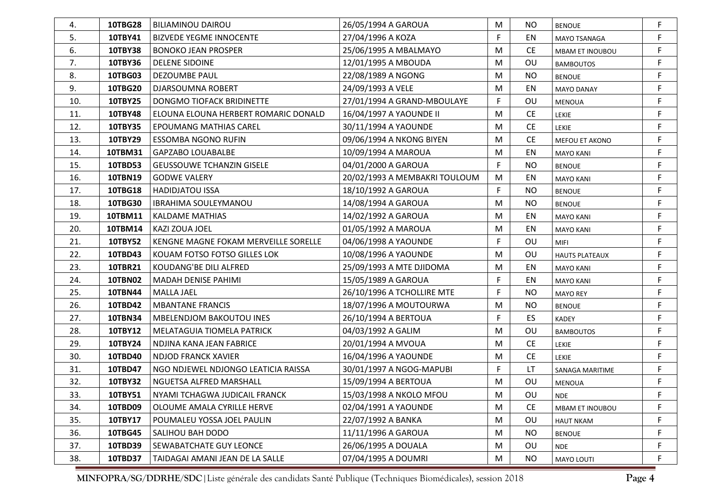| 4.  | <b>10TBG28</b> | <b>BILIAMINOU DAIROU</b>             | 26/05/1994 A GAROUA           | M  | <b>NO</b> | <b>BENOUE</b>          | F  |
|-----|----------------|--------------------------------------|-------------------------------|----|-----------|------------------------|----|
| 5.  | 10TBY41        | <b>BIZVEDE YEGME INNOCENTE</b>       | 27/04/1996 A KOZA             | F. | EN        | MAYO TSANAGA           | F  |
| 6.  | <b>10TBY38</b> | <b>BONOKO JEAN PROSPER</b>           | 25/06/1995 A MBALMAYO         | M  | <b>CE</b> | <b>MBAM ET INOUBOU</b> | F. |
| 7.  | 10TBY36        | <b>DELENE SIDOINE</b>                | 12/01/1995 A MBOUDA           | M  | OU        | <b>BAMBOUTOS</b>       | F  |
| 8.  | 10TBG03        | DEZOUMBE PAUL                        | 22/08/1989 A NGONG            | M  | <b>NO</b> | <b>BENOUE</b>          | F. |
| 9.  | 10TBG20        | DJARSOUMNA ROBERT                    | 24/09/1993 A VELE             | M  | EN        | <b>MAYO DANAY</b>      | F  |
| 10. | 10TBY25        | DONGMO TIOFACK BRIDINETTE            | 27/01/1994 A GRAND-MBOULAYE   | F  | OU        | MENOUA                 | F  |
| 11. | 10TBY48        | ELOUNA ELOUNA HERBERT ROMARIC DONALD | 16/04/1997 A YAOUNDE II       | M  | <b>CE</b> | <b>LEKIE</b>           | F  |
| 12. | 10TBY35        | <b>EPOUMANG MATHIAS CAREL</b>        | 30/11/1994 A YAOUNDE          | M  | <b>CE</b> | <b>LEKIE</b>           | F  |
| 13. | 10TBY29        | <b>ESSOMBA NGONO RUFIN</b>           | 09/06/1994 A NKONG BIYEN      | M  | <b>CE</b> | MEFOU ET AKONO         | F  |
| 14. | 10TBM31        | <b>GAPZABO LOUABALBE</b>             | 10/09/1994 A MAROUA           | M  | EN        | MAYO KANI              | F  |
| 15. | <b>10TBD53</b> | <b>GEUSSOUWE TCHANZIN GISELE</b>     | 04/01/2000 A GAROUA           | F  | <b>NO</b> | <b>BENOUE</b>          | F  |
| 16. | <b>10TBN19</b> | <b>GODWE VALERY</b>                  | 20/02/1993 A MEMBAKRI TOULOUM | M  | EN        | <b>MAYO KANI</b>       | F  |
| 17. | 10TBG18        | <b>HADIDJATOU ISSA</b>               | 18/10/1992 A GAROUA           | F  | <b>NO</b> | <b>BENOUE</b>          | F  |
| 18. | 10TBG30        | <b>IBRAHIMA SOULEYMANOU</b>          | 14/08/1994 A GAROUA           | M  | <b>NO</b> | <b>BENOUE</b>          | F  |
| 19. | 10TBM11        | <b>KALDAME MATHIAS</b>               | 14/02/1992 A GAROUA           | M  | EN        | <b>MAYO KANI</b>       | F  |
| 20. | 10TBM14        | KAZI ZOUA JOEL                       | 01/05/1992 A MAROUA           | M  | EN        | MAYO KANI              | F  |
| 21. | <b>10TBY52</b> | KENGNE MAGNE FOKAM MERVEILLE SORELLE | 04/06/1998 A YAOUNDE          | F  | OU        | <b>MIFI</b>            | F  |
| 22. | 10TBD43        | KOUAM FOTSO FOTSO GILLES LOK         | 10/08/1996 A YAOUNDE          | M  | OU        | <b>HAUTS PLATEAUX</b>  | F  |
| 23. | 10TBR21        | KOUDANG'BE DILI ALFRED               | 25/09/1993 A MTE DJIDOMA      | M  | EN        | <b>MAYO KANI</b>       | F  |
| 24. | <b>10TBN02</b> | <b>MADAH DENISE PAHIMI</b>           | 15/05/1989 A GAROUA           | F  | EN        | <b>MAYO KANI</b>       | F  |
| 25. | <b>10TBN44</b> | <b>MALLA JAEL</b>                    | 26/10/1996 A TCHOLLIRE MTE    | F  | <b>NO</b> | <b>MAYO REY</b>        | F  |
| 26. | 10TBD42        | <b>MBANTANE FRANCIS</b>              | 18/07/1996 A MOUTOURWA        | M  | <b>NO</b> | <b>BENOUE</b>          | F  |
| 27. | <b>10TBN34</b> | <b>MBELENDJOM BAKOUTOU INES</b>      | 26/10/1994 A BERTOUA          | F  | ES        | KADEY                  | F  |
| 28. | 10TBY12        | MELATAGUIA TIOMELA PATRICK           | 04/03/1992 A GALIM            | M  | OU        | <b>BAMBOUTOS</b>       | F  |
| 29. | 10TBY24        | NDJINA KANA JEAN FABRICE             | 20/01/1994 A MVOUA            | M  | <b>CE</b> | <b>LEKIE</b>           | F  |
| 30. | 10TBD40        | <b>NDJOD FRANCK XAVIER</b>           | 16/04/1996 A YAOUNDE          | M  | <b>CE</b> | <b>LEKIE</b>           | F  |
| 31. | 10TBD47        | NGO NDJEWEL NDJONGO LEATICIA RAISSA  | 30/01/1997 A NGOG-MAPUBI      | F  | LT.       | SANAGA MARITIME        | F  |
| 32. | <b>10TBY32</b> | NGUETSA ALFRED MARSHALL              | 15/09/1994 A BERTOUA          | M  | OU        | MENOUA                 | F  |
| 33. | <b>10TBY51</b> | NYAMI TCHAGWA JUDICAIL FRANCK        | 15/03/1998 A NKOLO MFOU       | М  | OU        | <b>NDE</b>             |    |
| 34. | 10TBD09        | OLOUME AMALA CYRILLE HERVE           | 02/04/1991 A YAOUNDE          | M  | <b>CE</b> | MBAM ET INOUBOU        | F  |
| 35. | 10TBY17        | POUMALEU YOSSA JOEL PAULIN           | 22/07/1992 A BANKA            | M  | OU        | <b>HAUT NKAM</b>       | F  |
| 36. | 10TBG45        | SALIHOU BAH DODO                     | 11/11/1996 A GAROUA           | M  | <b>NO</b> | <b>BENOUE</b>          | F  |
| 37. | 10TBD39        | SEWABATCHATE GUY LEONCE              | 26/06/1995 A DOUALA           | М  | OU        | <b>NDE</b>             | F  |
| 38. | 10TBD37        | TAIDAGAI AMANI JEAN DE LA SALLE      | 07/04/1995 A DOUMRI           | М  | <b>NO</b> | MAYO LOUTI             | F  |

**MINFOPRA/SG/DDRHE/SDC**|Liste générale des candidats Santé Publique (Techniques Biomédicales), session 2018